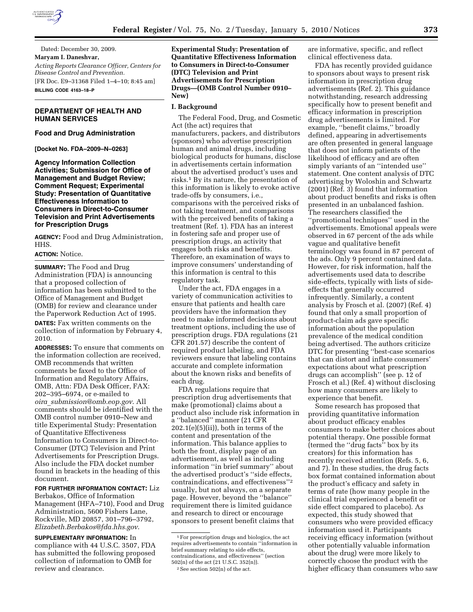

Dated: December 30, 2009. **Maryam I. Daneshvar,**  *Acting Reports Clearance Officer, Centers for Disease Control and Prevention.*  [FR Doc. E9–31368 Filed 1–4–10; 8:45 am] **BILLING CODE 4163–18–P** 

# **DEPARTMENT OF HEALTH AND HUMAN SERVICES**

## **Food and Drug Administration**

**[Docket No. FDA–2009–N–0263]** 

**Agency Information Collection Activities; Submission for Office of Management and Budget Review; Comment Request; Experimental Study: Presentation of Quantitative Effectiveness Information to Consumers in Direct-to-Consumer Television and Print Advertisements for Prescription Drugs** 

**AGENCY:** Food and Drug Administration, HHS.

# **ACTION:** Notice.

**SUMMARY:** The Food and Drug Administration (FDA) is announcing that a proposed collection of information has been submitted to the Office of Management and Budget (OMB) for review and clearance under the Paperwork Reduction Act of 1995.

**DATES:** Fax written comments on the collection of information by February 4, 2010.

**ADDRESSES:** To ensure that comments on the information collection are received, OMB recommends that written comments be faxed to the Office of Information and Regulatory Affairs, OMB, Attn: FDA Desk Officer, FAX: 202–395–6974, or e-mailed to *oira*\_*submission@omb.eop.gov*. All comments should be identified with the OMB control number 0910–New and title Experimental Study: Presentation of Quantitative Effectiveness Information to Consumers in Direct-to-Consumer (DTC) Television and Print Advertisements for Prescription Drugs. Also include the FDA docket number found in brackets in the heading of this document.

# **FOR FURTHER INFORMATION CONTACT:** Liz

Berbakos, Office of Information Management (HFA–710), Food and Drug Administration, 5600 Fishers Lane, Rockville, MD 20857, 301–796–3792, *Elizabeth.Berbakos@fda.hhs.gov*.

**SUPPLEMENTARY INFORMATION:** In compliance with 44 U.S.C. 3507, FDA has submitted the following proposed collection of information to OMB for review and clearance.

# **Experimental Study: Presentation of Quantitative Effectiveness Information to Consumers in Direct-to-Consumer (DTC) Television and Print Advertisements for Prescription Drugs—(OMB Control Number 0910– New)**

## **I. Background**

The Federal Food, Drug, and Cosmetic Act (the act) requires that manufacturers, packers, and distributors (sponsors) who advertise prescription human and animal drugs, including biological products for humans, disclose in advertisements certain information about the advertised product's uses and risks.1 By its nature, the presentation of this information is likely to evoke active trade-offs by consumers, i.e., comparisons with the perceived risks of not taking treatment, and comparisons with the perceived benefits of taking a treatment (Ref. 1). FDA has an interest in fostering safe and proper use of prescription drugs, an activity that engages both risks and benefits. Therefore, an examination of ways to improve consumers' understanding of this information is central to this regulatory task.

Under the act, FDA engages in a variety of communication activities to ensure that patients and health care providers have the information they need to make informed decisions about treatment options, including the use of prescription drugs. FDA regulations (21 CFR 201.57) describe the content of required product labeling, and FDA reviewers ensure that labeling contains accurate and complete information about the known risks and benefits of each drug.

FDA regulations require that prescription drug advertisements that make (promotional) claims about a product also include risk information in a ''balanced'' manner (21 CFR  $202.1(e)(5)(ii)$ , both in terms of the content and presentation of the information. This balance applies to both the front, display page of an advertisement, as well as including information ''in brief summary'' about the advertised product's ''side effects, contraindications, and effectiveness''2 usually, but not always, on a separate page. However, beyond the ''balance'' requirement there is limited guidance and research to direct or encourage sponsors to present benefit claims that

are informative, specific, and reflect clinical effectiveness data.

FDA has recently provided guidance to sponsors about ways to present risk information in prescription drug advertisements (Ref. 2). This guidance notwithstanding, research addressing specifically how to present benefit and efficacy information in prescription drug advertisements is limited. For example, ''benefit claims,'' broadly defined, appearing in advertisements are often presented in general language that does not inform patients of the likelihood of efficacy and are often simply variants of an ''intended use'' statement. One content analysis of DTC advertising by Woloshin and Schwartz (2001) (Ref. 3) found that information about product benefits and risks is often presented in an unbalanced fashion. The researchers classified the ''promotional techniques'' used in the advertisements. Emotional appeals were observed in 67 percent of the ads while vague and qualitative benefit terminology was found in 87 percent of the ads. Only 9 percent contained data. However, for risk information, half the advertisements used data to describe side-effects, typically with lists of sideeffects that generally occurred infrequently. Similarly, a content analysis by Frosch et al. (2007) (Ref. 4) found that only a small proportion of product-claim ads gave specific information about the population prevalence of the medical condition being advertised. The authors criticize DTC for presenting ''best-case scenarios that can distort and inflate consumers' expectations about what prescription drugs can accomplish'' (see p. 12 of Frosch et al.) (Ref. 4) without disclosing how many consumers are likely to experience that benefit.

Some research has proposed that providing quantitative information about product efficacy enables consumers to make better choices about potential therapy. One possible format (termed the ''drug facts'' box by its creators) for this information has recently received attention (Refs. 5, 6, and 7). In these studies, the drug facts box format contained information about the product's efficacy and safety in terms of rate (how many people in the clinical trial experienced a benefit or side effect compared to placebo). As expected, this study showed that consumers who were provided efficacy information used it. Participants receiving efficacy information (without other potentially valuable information about the drug) were more likely to correctly choose the product with the higher efficacy than consumers who saw

<sup>1</sup>For prescription drugs and biologics, the act requires advertisements to contain ''information in brief summary relating to side effects, contraindications, and effectiveness'' (section 502(n) of the act (21 U.S.C. 352(n)). 2See section 502(n) of the act.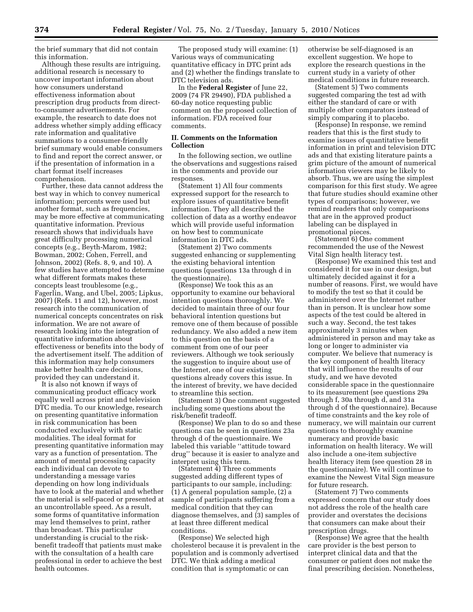the brief summary that did not contain this information.

Although these results are intriguing, additional research is necessary to uncover important information about how consumers understand effectiveness information about prescription drug products from directto-consumer advertisements. For example, the research to date does not address whether simply adding efficacy rate information and qualitative summations to a consumer-friendly brief summary would enable consumers to find and report the correct answer, or if the presentation of information in a chart format itself increases comprehension.

Further, these data cannot address the best way in which to convey numerical information; percents were used but another format, such as frequencies, may be more effective at communicating quantitative information. Previous research shows that individuals have great difficulty processing numerical concepts (e.g., Beyth-Marom, 1982; Bowman, 2002; Cohen, Ferrell, and Johnson, 2002) (Refs. 8, 9, and 10). A few studies have attempted to determine what different formats makes these concepts least troublesome (e.g., Fagerlin, Wang, and Ubel, 2005; Lipkus, 2007) (Refs. 11 and 12), however, most research into the communication of numerical concepts concentrates on risk information. We are not aware of research looking into the integration of quantitative information about effectiveness or benefits into the body of the advertisement itself. The addition of this information may help consumers make better health care decisions, provided they can understand it.

It is also not known if ways of communicating product efficacy work equally well across print and television DTC media. To our knowledge, research on presenting quantitative information in risk communication has been conducted exclusively with static modalities. The ideal format for presenting quantitative information may vary as a function of presentation. The amount of mental processing capacity each individual can devote to understanding a message varies depending on how long individuals have to look at the material and whether the material is self-paced or presented at an uncontrollable speed. As a result, some forms of quantitative information may lend themselves to print, rather than broadcast. This particular understanding is crucial to the riskbenefit tradeoff that patients must make with the consultation of a health care professional in order to achieve the best health outcomes.

The proposed study will examine: (1) Various ways of communicating quantitative efficacy in DTC print ads and (2) whether the findings translate to DTC television ads.

In the **Federal Register** of June 22, 2009 (74 FR 29490), FDA published a 60-day notice requesting public comment on the proposed collection of information. FDA received four comments.

### **II. Comments on the Information Collection**

In the following section, we outline the observations and suggestions raised in the comments and provide our responses.

(Statement 1) All four comments expressed support for the research to explore issues of quantitative benefit information. They all described the collection of data as a worthy endeavor which will provide useful information on how best to communicate information in DTC ads.

(Statement 2) Two comments suggested enhancing or supplementing the existing behavioral intention questions (questions 13a through d in the questionnaire).

(Response) We took this as an opportunity to examine our behavioral intention questions thoroughly. We decided to maintain three of our four behavioral intention questions but remove one of them because of possible redundancy. We also added a new item to this question on the basis of a comment from one of our peer reviewers. Although we took seriously the suggestion to inquire about use of the Internet, one of our existing questions already covers this issue. In the interest of brevity, we have decided to streamline this section.

(Statement 3) One comment suggested including some questions about the risk/benefit tradeoff.

(Response) We plan to do so and these questions can be seen in questions 23a through d of the questionnaire. We labeled this variable ''attitude toward drug'' because it is easier to analyze and interpret using this term.

(Statement 4) Three comments suggested adding different types of participants to our sample, including: (1) A general population sample, (2) a sample of participants suffering from a medical condition that they can diagnose themselves, and (3) samples of at least three different medical conditions.

(Response) We selected high cholesterol because it is prevalent in the population and is commonly advertised DTC. We think adding a medical condition that is symptomatic or can

otherwise be self-diagnosed is an excellent suggestion. We hope to explore the research questions in the current study in a variety of other medical conditions in future research.

(Statement 5) Two comments suggested comparing the test ad with either the standard of care or with multiple other comparators instead of simply comparing it to placebo.

(Response) In response, we remind readers that this is the first study to examine issues of quantitative benefit information in print and television DTC ads and that existing literature paints a grim picture of the amount of numerical information viewers may be likely to absorb. Thus, we are using the simplest comparison for this first study. We agree that future studies should examine other types of comparisons; however, we remind readers that only comparisons that are in the approved product labeling can be displayed in promotional pieces.

(Statement 6) One comment recommended the use of the Newest Vital Sign health literacy test.

(Response) We examined this test and considered it for use in our design, but ultimately decided against it for a number of reasons. First, we would have to modify the test so that it could be administered over the Internet rather than in person. It is unclear how some aspects of the test could be altered in such a way. Second, the test takes approximately 3 minutes when administered in person and may take as long or longer to administer via computer. We believe that numeracy is the key component of health literacy that will influence the results of our study, and we have devoted considerable space in the questionnaire to its measurement (see questions 29a through f, 30a through d, and 31a through d of the questionnaire). Because of time constraints and the key role of numeracy, we will maintain our current questions to thoroughly examine numeracy and provide basic information on health literacy. We will also include a one-item subjective health literacy item (see question 28 in the questionnaire). We will continue to examine the Newest Vital Sign measure for future research.

(Statement 7) Two comments expressed concern that our study does not address the role of the health care provider and overstates the decisions that consumers can make about their prescription drugs.

(Response) We agree that the health care provider is the best person to interpret clinical data and that the consumer or patient does not make the final prescribing decision. Nonetheless,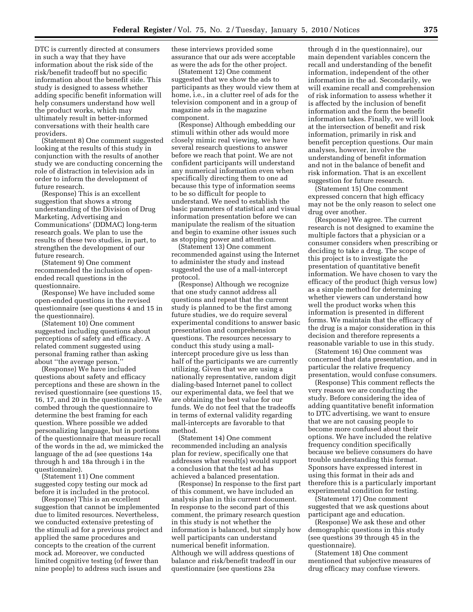DTC is currently directed at consumers in such a way that they have information about the risk side of the risk/benefit tradeoff but no specific information about the benefit side. This study is designed to assess whether adding specific benefit information will help consumers understand how well the product works, which may ultimately result in better-informed conversations with their health care providers.

(Statement 8) One comment suggested looking at the results of this study in conjunction with the results of another study we are conducting concerning the role of distraction in television ads in order to inform the development of future research.

(Response) This is an excellent suggestion that shows a strong understanding of the Division of Drug Marketing, Advertising and Communications' (DDMAC) long-term research goals. We plan to use the results of these two studies, in part, to strengthen the development of our future research.

(Statement 9) One comment recommended the inclusion of openended recall questions in the questionnaire.

(Response) We have included some open-ended questions in the revised questionnaire (see questions 4 and 15 in the questionnaire).

(Statement 10) One comment suggested including questions about perceptions of safety and efficacy. A related comment suggested using personal framing rather than asking about ''the average person.''

(Response) We have included questions about safety and efficacy perceptions and these are shown in the revised questionnaire (see questions 15, 16, 17, and 20 in the questionnaire). We combed through the questionnaire to determine the best framing for each question. Where possible we added personalizing language, but in portions of the questionnaire that measure recall of the words in the ad, we mimicked the language of the ad (see questions 14a through h and 18a through i in the questionnaire).

(Statement 11) One comment suggested copy testing our mock ad before it is included in the protocol.

(Response) This is an excellent suggestion that cannot be implemented due to limited resources. Nevertheless, we conducted extensive pretesting of the stimuli ad for a previous project and applied the same procedures and concepts to the creation of the current mock ad. Moreover, we conducted limited cognitive testing (of fewer than nine people) to address such issues and

these interviews provided some assurance that our ads were acceptable as were the ads for the other project.

(Statement 12) One comment suggested that we show the ads to participants as they would view them at home, i.e., in a clutter reel of ads for the television component and in a group of magazine ads in the magazine component.

(Response) Although embedding our stimuli within other ads would more closely mimic real viewing, we have several research questions to answer before we reach that point. We are not confident participants will understand any numerical information even when specifically directing them to one ad because this type of information seems to be so difficult for people to understand. We need to establish the basic parameters of statistical and visual information presentation before we can manipulate the realism of the situation and begin to examine other issues such as stopping power and attention.

(Statement 13) One comment recommended against using the Internet to administer the study and instead suggested the use of a mall-intercept protocol.

(Response) Although we recognize that one study cannot address all questions and repeat that the current study is planned to be the first among future studies, we do require several experimental conditions to answer basic presentation and comprehension questions. The resources necessary to conduct this study using a mallintercept procedure give us less than half of the participants we are currently utilizing. Given that we are using a nationally representative, random digit dialing-based Internet panel to collect our experimental data, we feel that we are obtaining the best value for our funds. We do not feel that the tradeoffs in terms of external validity regarding mall-intercepts are favorable to that method.

(Statement 14) One comment recommended including an analysis plan for review, specifically one that addresses what result(s) would support a conclusion that the test ad has achieved a balanced presentation.

(Response) In response to the first part of this comment, we have included an analysis plan in this current document. In response to the second part of this comment, the primary research question in this study is not whether the information is balanced, but simply how well participants can understand numerical benefit information. Although we will address questions of balance and risk/benefit tradeoff in our questionnaire (see questions 23a

through d in the questionnaire), our main dependent variables concern the recall and understanding of the benefit information, independent of the other information in the ad. Secondarily, we will examine recall and comprehension of risk information to assess whether it is affected by the inclusion of benefit information and the form the benefit information takes. Finally, we will look at the intersection of benefit and risk information, primarily in risk and benefit perception questions. Our main analyses, however, involve the understanding of benefit information and not in the balance of benefit and risk information. That is an excellent suggestion for future research.

(Statement 15) One comment expressed concern that high efficacy may not be the only reason to select one drug over another.

(Response) We agree. The current research is not designed to examine the multiple factors that a physician or a consumer considers when prescribing or deciding to take a drug. The scope of this project is to investigate the presentation of quantitative benefit information. We have chosen to vary the efficacy of the product (high versus low) as a simple method for determining whether viewers can understand how well the product works when this information is presented in different forms. We maintain that the efficacy of the drug is a major consideration in this decision and therefore represents a reasonable variable to use in this study.

(Statement 16) One comment was concerned that data presentation, and in particular the relative frequency presentation, would confuse consumers.

(Response) This comment reflects the very reason we are conducting the study. Before considering the idea of adding quantitative benefit information to DTC advertising, we want to ensure that we are not causing people to become more confused about their options. We have included the relative frequency condition specifically because we believe consumers do have trouble understanding this format. Sponsors have expressed interest in using this format in their ads and therefore this is a particularly important experimental condition for testing.

(Statement 17) One comment suggested that we ask questions about participant age and education.

(Response) We ask these and other demographic questions in this study (see questions 39 through 45 in the questionnaire).

(Statement 18) One comment mentioned that subjective measures of drug efficacy may confuse viewers.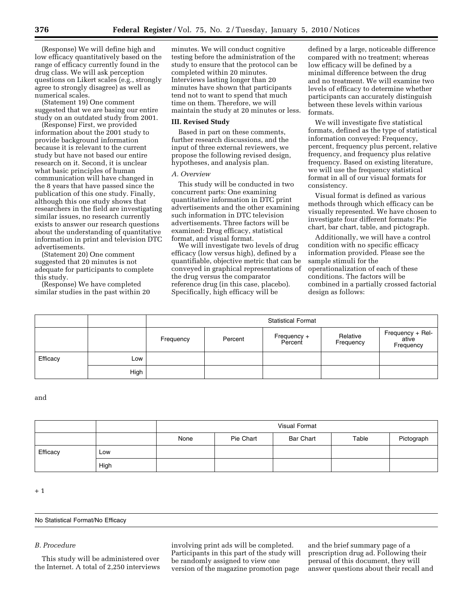(Response) We will define high and low efficacy quantitatively based on the range of efficacy currently found in the drug class. We will ask perception questions on Likert scales (e.g., strongly agree to strongly disagree) as well as numerical scales.

(Statement 19) One comment suggested that we are basing our entire study on an outdated study from 2001.

(Response) First, we provided information about the 2001 study to provide background information because it is relevant to the current study but have not based our entire research on it. Second, it is unclear what basic principles of human communication will have changed in the 8 years that have passed since the publication of this one study. Finally, although this one study shows that researchers in the field are investigating similar issues, no research currently exists to answer our research questions about the understanding of quantitative information in print and television DTC advertisements.

(Statement 20) One comment suggested that 20 minutes is not adequate for participants to complete this study.

(Response) We have completed similar studies in the past within 20 minutes. We will conduct cognitive testing before the administration of the study to ensure that the protocol can be completed within 20 minutes. Interviews lasting longer than 20 minutes have shown that participants tend not to want to spend that much time on them. Therefore, we will maintain the study at 20 minutes or less.

### **III. Revised Study**

Based in part on these comments, further research discussions, and the input of three external reviewers, we propose the following revised design, hypotheses, and analysis plan.

#### *A. Overview*

This study will be conducted in two concurrent parts: One examining quantitative information in DTC print advertisements and the other examining such information in DTC television advertisements. Three factors will be examined: Drug efficacy, statistical format, and visual format.

We will investigate two levels of drug efficacy (low versus high), defined by a quantifiable, objective metric that can be conveyed in graphical representations of the drug versus the comparator reference drug (in this case, placebo). Specifically, high efficacy will be

defined by a large, noticeable difference compared with no treatment; whereas low efficacy will be defined by a minimal difference between the drug and no treatment. We will examine two levels of efficacy to determine whether participants can accurately distinguish between these levels within various formats.

We will investigate five statistical formats, defined as the type of statistical information conveyed: Frequency, percent, frequency plus percent, relative frequency, and frequency plus relative frequency. Based on existing literature, we will use the frequency statistical format in all of our visual formats for consistency.

Visual format is defined as various methods through which efficacy can be visually represented. We have chosen to investigate four different formats: Pie chart, bar chart, table, and pictograph.

Additionally, we will have a control condition with no specific efficacy information provided. Please see the sample stimuli for the operationalization of each of these conditions. The factors will be combined in a partially crossed factorial design as follows:

|          |      | <b>Statistical Format</b> |         |                        |                       |                                        |  |
|----------|------|---------------------------|---------|------------------------|-----------------------|----------------------------------------|--|
|          |      | Frequency                 | Percent | Frequency +<br>Percent | Relative<br>Frequency | Frequency + Rel-<br>ative<br>Frequency |  |
| Efficacy | Low  |                           |         |                        |                       |                                        |  |
|          | High |                           |         |                        |                       |                                        |  |

and

|          |      | Visual Format |           |                  |       |            |  |
|----------|------|---------------|-----------|------------------|-------|------------|--|
|          |      | None          | Pie Chart | <b>Bar Chart</b> | Table | Pictograph |  |
| Efficacy | Low  |               |           |                  |       |            |  |
|          | High |               |           |                  |       |            |  |

+ 1

#### No Statistical Format/No Efficacy

# *B. Procedure*

This study will be administered over the Internet. A total of 2,250 interviews involving print ads will be completed. Participants in this part of the study will be randomly assigned to view one version of the magazine promotion page

and the brief summary page of a prescription drug ad. Following their perusal of this document, they will answer questions about their recall and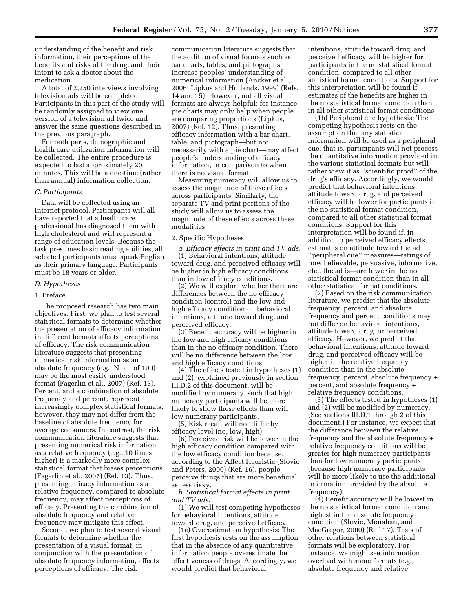understanding of the benefit and risk information, their perceptions of the benefits and risks of the drug, and their intent to ask a doctor about the medication.

A total of 2,250 interviews involving television ads will be completed. Participants in this part of the study will be randomly assigned to view one version of a television ad twice and answer the same questions described in the previous paragraph.

For both parts, demographic and health care utilization information will be collected. The entire procedure is expected to last approximately 20 minutes. This will be a one-time (rather than annual) information collection.

## *C. Participants*

Data will be collected using an Internet protocol. Participants will all have reported that a health care professional has diagnosed them with high cholesterol and will represent a range of education levels. Because the task presumes basic reading abilities, all selected participants must speak English as their primary language. Participants must be 18 years or older.

### *D. Hypotheses*

#### 1. Preface

The proposed research has two main objectives. First, we plan to test several statistical formats to determine whether the presentation of efficacy information in different formats affects perceptions of efficacy. The risk communication literature suggests that presenting numerical risk information as an absolute frequency (e.g., N out of 100) may be the most easily understood format (Fagerlin et al., 2007) (Ref. 13). Percent, and a combination of absolute frequency and percent, represent increasingly complex statistical formats; however, they may not differ from the baseline of absolute frequency for average consumers. In contrast, the risk communication literature suggests that presenting numerical risk information as a relative frequency (e.g., 10 times higher) is a markedly more complex statistical format that biases perceptions (Fagerlin et al., 2007) (Ref. 13). Thus, presenting efficacy information as a relative frequency, compared to absolute frequency, may affect perceptions of efficacy. Presenting the combination of absolute frequency and relative frequency may mitigate this effect.

Second, we plan to test several visual formats to determine whether the presentation of a visual format, in conjunction with the presentation of absolute frequency information, affects perceptions of efficacy. The risk

communication literature suggests that the addition of visual formats such as bar charts, tables, and pictographs increase peoples' understanding of numerical information (Ancker et al., 2006; Lipkus and Hollands, 1999) (Refs. 14 and 15). However, not all visual formats are always helpful; for instance, pie charts may only help when people are comparing proportions (Lipkus, 2007) (Ref. 12). Thus, presenting efficacy information with a bar chart, table, and pictograph—but not necessarily with a pie chart—may affect people's understanding of efficacy information, in comparison to when there is no visual format.

Measuring numeracy will allow us to assess the magnitude of these effects across participants. Similarly, the separate TV and print portions of the study will allow us to assess the magnitude of these effects across these modalities.

### 2. Specific Hypotheses

*a. Efficacy effects in print and TV ads.*  (1) Behavioral intentions, attitude toward drug, and perceived efficacy will be higher in high efficacy conditions than in low efficacy conditions.

(2) We will explore whether there are differences between the no efficacy condition (control) and the low and high efficacy condition on behavioral intentions, attitude toward drug, and perceived efficacy.

(3) Benefit accuracy will be higher in the low and high efficacy conditions than in the no efficacy condition. There will be no difference between the low and high efficacy conditions.

(4) The effects tested in hypotheses (1) and (2), explained previously in section III.D.2 of this document, will be modified by numeracy, such that high numeracy participants will be more likely to show these effects than will low numeracy participants.

(5) Risk recall will not differ by efficacy level (no, low, high).

(6) Perceived risk will be lower in the high efficacy condition compared with the low efficacy condition because, according to the Affect Heuristic (Slovic and Peters, 2006) (Ref. 16), people perceive things that are more beneficial as less risky.

*b. Statistical format effects in print and TV ads.* 

(1) We will test competing hypotheses for behavioral intentions, attitude toward drug, and perceived efficacy.

(1a) Overestimation hypothesis: The first hypothesis rests on the assumption that in the absence of any quantitative information people overestimate the effectiveness of drugs. Accordingly, we would predict that behavioral

intentions, attitude toward drug, and perceived efficacy will be higher for participants in the no statistical format condition, compared to all other statistical format conditions. Support for this interpretation will be found if estimates of the benefits are higher in the no statistical format condition than in all other statistical format conditions.

(1b) Peripheral cue hypothesis: The competing hypothesis rests on the assumption that any statistical information will be used as a peripheral cue; that is, participants will not process the quantitative information provided in the various statistical formats but will rather view it as ''scientific proof'' of the drug's efficacy. Accordingly, we would predict that behavioral intentions, attitude toward drug, and perceived efficacy will be lower for participants in the no statistical format condition, compared to all other statistical format conditions. Support for this interpretation will be found if, in addition to perceived efficacy effects, estimates on attitude toward the ad ''peripheral cue'' measures—ratings of how believable, persuasive, informative, etc., the ad is—are lower in the no statistical format condition than in all other statistical format conditions.

(2) Based on the risk communication literature, we predict that the absolute frequency, percent, and absolute frequency and percent conditions may not differ on behavioral intentions, attitude toward drug, or perceived efficacy. However, we predict that behavioral intentions, attitude toward drug, and perceived efficacy will be higher in the relative frequency condition than in the absolute frequency, percent, absolute frequency + percent, and absolute frequency + relative frequency conditions.

(3) The effects tested in hypotheses (1) and (2) will be modified by numeracy. (See sections III.D.1 through 2 of this document.) For instance, we expect that the difference between the relative frequency and the absolute frequency + relative frequency conditions will be greater for high numeracy participants than for low numeracy participants (because high numeracy participants will be more likely to use the additional information provided by the absolute frequency).

(4) Benefit accuracy will be lowest in the no statistical format condition and highest in the absolute frequency condition (Slovic, Monahan, and MacGregor, 2000) (Ref. 17). Tests of other relations between statistical formats will be exploratory. For instance, we might see information overload with some formats (e.g., absolute frequency and relative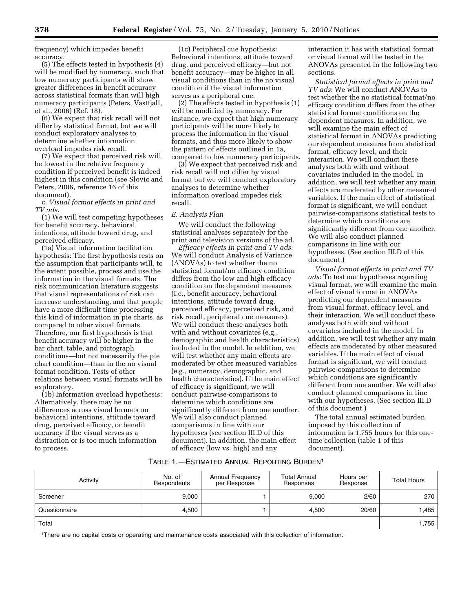frequency) which impedes benefit accuracy.

(5) The effects tested in hypothesis (4) will be modified by numeracy, such that low numeracy participants will show greater differences in benefit accuracy across statistical formats than will high numeracy participants (Peters, Vastfjall, et al., 2006) (Ref. 18).

(6) We expect that risk recall will not differ by statistical format, but we will conduct exploratory analyses to determine whether information overload impedes risk recall.

(7) We expect that perceived risk will be lowest in the relative frequency condition if perceived benefit is indeed highest in this condition (see Slovic and Peters, 2006, reference 16 of this document).

c. *Visual format effects in print and TV ads*.

(1) We will test competing hypotheses for benefit accuracy, behavioral intentions, attitude toward drug, and perceived efficacy.

(1a) Visual information facilitation hypothesis: The first hypothesis rests on the assumption that participants will, to the extent possible, process and use the information in the visual formats. The risk communication literature suggests that visual representations of risk can increase understanding, and that people have a more difficult time processing this kind of information in pie charts, as compared to other visual formats. Therefore, our first hypothesis is that benefit accuracy will be higher in the bar chart, table, and pictograph conditions—but not necessarily the pie chart condition—than in the no visual format condition. Tests of other relations between visual formats will be exploratory.

(1b) Information overload hypothesis: Alternatively, there may be no differences across visual formats on behavioral intentions, attitude toward drug, perceived efficacy, or benefit accuracy if the visual serves as a distraction or is too much information to process.

(1c) Peripheral cue hypothesis: Behavioral intentions, attitude toward drug, and perceived efficacy—but not benefit accuracy—may be higher in all visual conditions than in the no visual condition if the visual information serves as a peripheral cue.

(2) The effects tested in hypothesis (1) will be modified by numeracy. For instance, we expect that high numeracy participants will be more likely to process the information in the visual formats, and thus more likely to show the pattern of effects outlined in 1a, compared to low numeracy participants.

(3) We expect that perceived risk and risk recall will not differ by visual format but we will conduct exploratory analyses to determine whether information overload impedes risk recall.

## *E. Analysis Plan*

We will conduct the following statistical analyses separately for the print and television versions of the ad.

*Efficacy effects in print and TV ads*: We will conduct Analysis of Variance (ANOVAs) to test whether the no statistical format/no efficacy condition differs from the low and high efficacy condition on the dependent measures (i.e., benefit accuracy, behavioral intentions, attitude toward drug, perceived efficacy, perceived risk, and risk recall, peripheral cue measures). We will conduct these analyses both with and without covariates (e.g., demographic and health characteristics) included in the model. In addition, we will test whether any main effects are moderated by other measured variables (e.g., numeracy, demographic, and health characteristics). If the main effect of efficacy is significant, we will conduct pairwise-comparisons to determine which conditions are significantly different from one another. We will also conduct planned comparisons in line with our hypotheses (see section III.D of this document). In addition, the main effect of efficacy (low vs. high) and any

interaction it has with statistical format or visual format will be tested in the ANOVAs presented in the following two sections.

*Statistical format effects in print and TV ads*: We will conduct ANOVAs to test whether the no statistical format/no efficacy condition differs from the other statistical format conditions on the dependent measures. In addition, we will examine the main effect of statistical format in ANOVAs predicting our dependent measures from statistical format, efficacy level, and their interaction. We will conduct these analyses both with and without covariates included in the model. In addition, we will test whether any main effects are moderated by other measured variables. If the main effect of statistical format is significant, we will conduct pairwise-comparisons statistical tests to determine which conditions are significantly different from one another. We will also conduct planned comparisons in line with our hypotheses. (See section III.D of this document.)

*Visual format effects in print and TV ads*: To test our hypotheses regarding visual format, we will examine the main effect of visual format in ANOVAs predicting our dependent measures from visual format, efficacy level, and their interaction. We will conduct these analyses both with and without covariates included in the model. In addition, we will test whether any main effects are moderated by other measured variables. If the main effect of visual format is significant, we will conduct pairwise-comparisons to determine which conditions are significantly different from one another. We will also conduct planned comparisons in line with our hypotheses. (See section III.D of this document.)

The total annual estimated burden imposed by this collection of information is 1,755 hours for this onetime collection (table 1 of this document).

# TABLE 1.—ESTIMATED ANNUAL REPORTING BURDEN1

| Activity      | No. of<br>Respondents | Annual Frequency<br>per Response | <b>Total Annual</b><br>Responses | Hours per<br>Response | <b>Total Hours</b> |
|---------------|-----------------------|----------------------------------|----------------------------------|-----------------------|--------------------|
| Screener      | 9,000                 |                                  | 9,000                            | 2/60                  | 270                |
| Questionnaire | 4,500                 |                                  | 4,500                            | 20/60                 | 1,485              |
| Total         |                       |                                  |                                  |                       |                    |

1There are no capital costs or operating and maintenance costs associated with this collection of information.